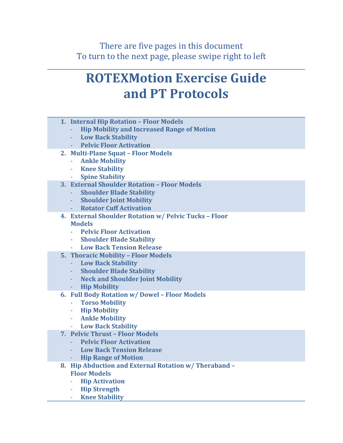# **ROTEXMotion Exercise Guide and PT Protocols**

- **1. Internal Hip Rotation – Floor Models**
	- **Hip Mobility and Increased Range of Motion**
	- **Low Back Stability**
	- **Pelvic Floor Activation**
- **2. Multi-Plane Squat – Floor Models**
	- **Ankle Mobility**
	- **Knee Stability**
	- **Spine Stability**
- **3. External Shoulder Rotation – Floor Models**
	- **Shoulder Blade Stability**
	- **Shoulder Joint Mobility**
	- **Rotator Cuff Activation**
- **4. External Shoulder Rotation w/ Pelvic Tucks – Floor Models**
	- **Pelvic Floor Activation**
	- **Shoulder Blade Stability**
	- **Low Back Tension Release**
- **5. Thoracic Mobility – Floor Models** 
	- **Low Back Stability**
	- **Shoulder Blade Stability**
	- **Neck and Shoulder Joint Mobility**
	- **Hip Mobility**
- **6. Full Body Rotation w/ Dowel – Floor Models**
	- **Torso Mobility**
	- **Hip Mobility**
	- **Ankle Mobility**
	- **Low Back Stability**
- **7. Pelvic Thrust – Floor Models**
	- **Pelvic Floor Activation**
	- **Low Back Tension Release**
	- **Hip Range of Motion**
- **8. Hip Abduction and External Rotation w/ Theraband – Floor Models**
	- **Hip Activation**
	- **Hip Strength**
	- **Knee Stability**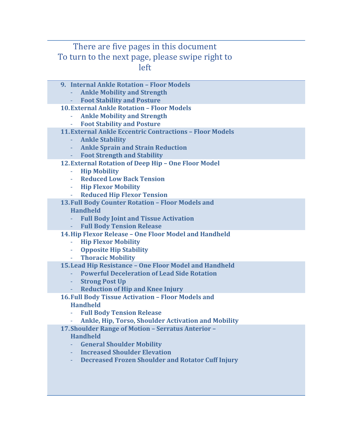- **9. Internal Ankle Rotation – Floor Models**
	- **Ankle Mobility and Strength**
	- **Foot Stability and Posture**
- **10.External Ankle Rotation – Floor Models**
	- **Ankle Mobility and Strength**
	- **Foot Stability and Posture**
- **11.External Ankle Eccentric Contractions – Floor Models**
	- **Ankle Stability**
	- **Ankle Sprain and Strain Reduction**
	- **Foot Strength and Stability**
- **12.External Rotation of Deep Hip – One Floor Model**
	- **Hip Mobility**
	- **Reduced Low Back Tension**
	- **Hip Flexor Mobility**
	- **Reduced Hip Flexor Tension**
- **13.Full Body Counter Rotation – Floor Models and Handheld** 
	- **Full Body Joint and Tissue Activation**
	- **Full Body Tension Release**
- **14.Hip Flexor Release – One Floor Model and Handheld**
	- **Hip Flexor Mobility**
	- **Opposite Hip Stability**
	- **Thoracic Mobility**
- **15.Lead Hip Resistance – One Floor Model and Handheld**
	- **Powerful Deceleration of Lead Side Rotation**
	- **Strong Post Up**
	- **Reduction of Hip and Knee Injury**
- **16.Full Body Tissue Activation – Floor Models and Handheld**
	- **Full Body Tension Release**
	- **Ankle, Hip, Torso, Shoulder Activation and Mobility**
- **17.Shoulder Range of Motion – Serratus Anterior –**

#### **Handheld**

- **General Shoulder Mobility**
- **Increased Shoulder Elevation**
- **Decreased Frozen Shoulder and Rotator Cuff Injury**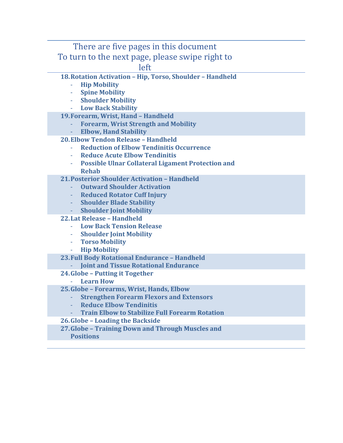- **18.Rotation Activation – Hip, Torso, Shoulder – Handheld**
	- **Hip Mobility**
	- **Spine Mobility**
	- **Shoulder Mobility**
	- **Low Back Stability**
- **19.Forearm, Wrist, Hand – Handheld**
	- **Forearm, Wrist Strength and Mobility**
	- **Elbow, Hand Stability**
- **20.Elbow Tendon Release – Handheld**
	- **Reduction of Elbow Tendinitis Occurrence**
	- **Reduce Acute Elbow Tendinitis**
	- **Possible Ulnar Collateral Ligament Protection and Rehab**
- **21.Posterior Shoulder Activation – Handheld**
	- **Outward Shoulder Activation**
	- **Reduced Rotator Cuff Injury**
	- **Shoulder Blade Stability**
	- **Shoulder Joint Mobility**
- **22.Lat Release – Handheld**
	- **Low Back Tension Release**
	- **Shoulder Joint Mobility**
	- **Torso Mobility**
	- **Hip Mobility**
- **23.Full Body Rotational Endurance – Handheld**
	- **Joint and Tissue Rotational Endurance**
- **24.Globe – Putting it Together**
	- **Learn How**
- **25.Globe – Forearms, Wrist, Hands, Elbow**
	- **Strengthen Forearm Flexors and Extensors**
	- **Reduce Elbow Tendinitis**
	- **Train Elbow to Stabilize Full Forearm Rotation**
- **26.Globe – Loading the Backside**
- **27.Globe – Training Down and Through Muscles and** 
	- **Positions**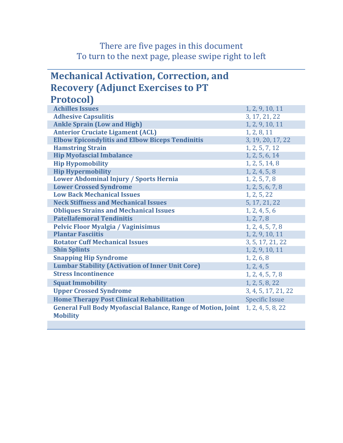## **Mechanical Activation, Correction, and Recovery (Adjunct Exercises to PT Protocol)**

| <b>TIOLOCOLI</b>                                                                       |                       |
|----------------------------------------------------------------------------------------|-----------------------|
| <b>Achilles Issues</b>                                                                 | 1, 2, 9, 10, 11       |
| <b>Adhesive Capsulitis</b>                                                             | 3, 17, 21, 22         |
| <b>Ankle Sprain (Low and High)</b>                                                     | 1, 2, 9, 10, 11       |
| <b>Anterior Cruciate Ligament (ACL)</b>                                                | 1, 2, 8, 11           |
| <b>Elbow Epicondylitis and Elbow Biceps Tendinitis</b>                                 | 3, 19, 20, 17, 22     |
| <b>Hamstring Strain</b>                                                                | 1, 2, 5, 7, 12        |
| <b>Hip Myofascial Imbalance</b>                                                        | 1, 2, 5, 6, 14        |
| <b>Hip Hypomobility</b>                                                                | 1, 2, 5, 14, 8        |
| <b>Hip Hypermobility</b>                                                               | 1, 2, 4, 5, 8         |
| Lower Abdominal Injury / Sports Hernia                                                 | 1, 2, 5, 7, 8         |
| <b>Lower Crossed Syndrome</b>                                                          | 1, 2, 5, 6, 7, 8      |
| <b>Low Back Mechanical Issues</b>                                                      | 1, 2, 5, 22           |
| <b>Neck Stiffness and Mechanical Issues</b>                                            | 5, 17, 21, 22         |
| <b>Obliques Strains and Mechanical Issues</b>                                          | 1, 2, 4, 5, 6         |
| <b>Patellafemoral Tendinitis</b>                                                       | 1, 2, 7, 8            |
| <b>Pelvic Floor Myalgia / Vaginisimus</b>                                              | 1, 2, 4, 5, 7, 8      |
| <b>Plantar Fasciitis</b>                                                               | 1, 2, 9, 10, 11       |
| <b>Rotator Cuff Mechanical Issues</b>                                                  | 3, 5, 17, 21, 22      |
| <b>Shin Splints</b>                                                                    | 1, 2, 9, 10, 11       |
| <b>Snapping Hip Syndrome</b>                                                           | 1, 2, 6, 8            |
| <b>Lumbar Stability (Activation of Inner Unit Core)</b>                                | 1, 2, 4, 5            |
| <b>Stress Incontinence</b>                                                             | 1, 2, 4, 5, 7, 8      |
| <b>Squat Immobility</b>                                                                | 1, 2, 5, 8, 22        |
| <b>Upper Crossed Syndrome</b>                                                          | 3, 4, 5, 17, 21, 22   |
| <b>Home Therapy Post Clinical Rehabilitation</b>                                       | <b>Specific Issue</b> |
| <b>General Full Body Myofascial Balance, Range of Motion, Joint</b><br><b>Mobility</b> | 1, 2, 4, 5, 8, 22     |
|                                                                                        |                       |